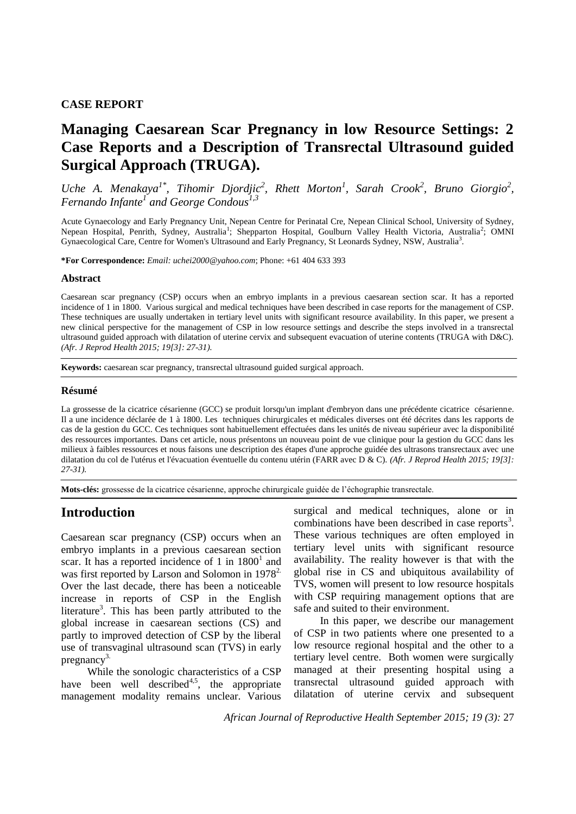#### **CASE REPORT**

# **Managing Caesarean Scar Pregnancy in low Resource Settings: 2 Case Reports and a Description of Transrectal Ultrasound guided Surgical Approach (TRUGA).**

*Uche A. Menakaya<sup>1\*</sup>, Tihomir Djordjic<sup>2</sup>, Rhett Morton<sup>1</sup>, Sarah Crook<sup>2</sup>, Bruno Giorgio<sup>2</sup>, Fernando Infante<sup>1</sup> and George Condous1,3*

Acute Gynaecology and Early Pregnancy Unit, Nepean Centre for Perinatal Cre, Nepean Clinical School, University of Sydney, Nepean Hospital, Penrith, Sydney, Australia<sup>1</sup>; Shepparton Hospital, Goulburn Valley Health Victoria, Australia<sup>2</sup>; OMNI Gynaecological Care, Centre for Women's Ultrasound and Early Pregnancy, St Leonards Sydney, NSW, Australia<sup>3</sup>.

**\*For Correspondence:** *Email: uchei2000@yahoo.com*; Phone: +61 404 633 393

#### **Abstract**

Caesarean scar pregnancy (CSP) occurs when an embryo implants in a previous caesarean section scar. It has a reported incidence of 1 in 1800. Various surgical and medical techniques have been described in case reports for the management of CSP. These techniques are usually undertaken in tertiary level units with significant resource availability. In this paper, we present a new clinical perspective for the management of CSP in low resource settings and describe the steps involved in a transrectal ultrasound guided approach with dilatation of uterine cervix and subsequent evacuation of uterine contents (TRUGA with D&C). *(Afr. J Reprod Health 2015; 19[3]: 27-31).*

**Keywords:** caesarean scar pregnancy, transrectal ultrasound guided surgical approach.

#### **Résumé**

La grossesse de la cicatrice césarienne (GCC) se produit lorsqu'un implant d'embryon dans une précédente cicatrice césarienne. Il a une incidence déclarée de 1 à 1800. Les techniques chirurgicales et médicales diverses ont été décrites dans les rapports de cas de la gestion du GCC. Ces techniques sont habituellement effectuées dans les unités de niveau supérieur avec la disponibilité des ressources importantes. Dans cet article, nous présentons un nouveau point de vue clinique pour la gestion du GCC dans les milieux à faibles ressources et nous faisons une description des étapes d'une approche guidée des ultrasons transrectaux avec une dilatation du col de l'utérus et l'évacuation éventuelle du contenu utérin (FARR avec D & C). *(Afr. J Reprod Health 2015; 19[3]: 27-31).*

**Mots-clés:** grossesse de la cicatrice césarienne, approche chirurgicale guidée de l'échographie transrectale.

### **Introduction**

Caesarean scar pregnancy (CSP) occurs when an embryo implants in a previous caesarean section scar. It has a reported incidence of 1 in  $1800<sup>1</sup>$  and was first reported by Larson and Solomon in 1978<sup>2</sup>. Over the last decade, there has been a noticeable increase in reports of CSP in the English literature<sup>3</sup>. This has been partly attributed to the global increase in caesarean sections (CS) and partly to improved detection of CSP by the liberal use of transvaginal ultrasound scan (TVS) in early pregnancy $3$ .

While the sonologic characteristics of a CSP have been well described<sup>4,5</sup>, the appropriate management modality remains unclear. Various surgical and medical techniques, alone or in combinations have been described in case reports<sup>3</sup>. These various techniques are often employed in tertiary level units with significant resource availability. The reality however is that with the global rise in CS and ubiquitous availability of TVS, women will present to low resource hospitals with CSP requiring management options that are safe and suited to their environment.

In this paper, we describe our management of CSP in two patients where one presented to a low resource regional hospital and the other to a tertiary level centre. Both women were surgically managed at their presenting hospital using a transrectal ultrasound guided approach with dilatation of uterine cervix and subsequent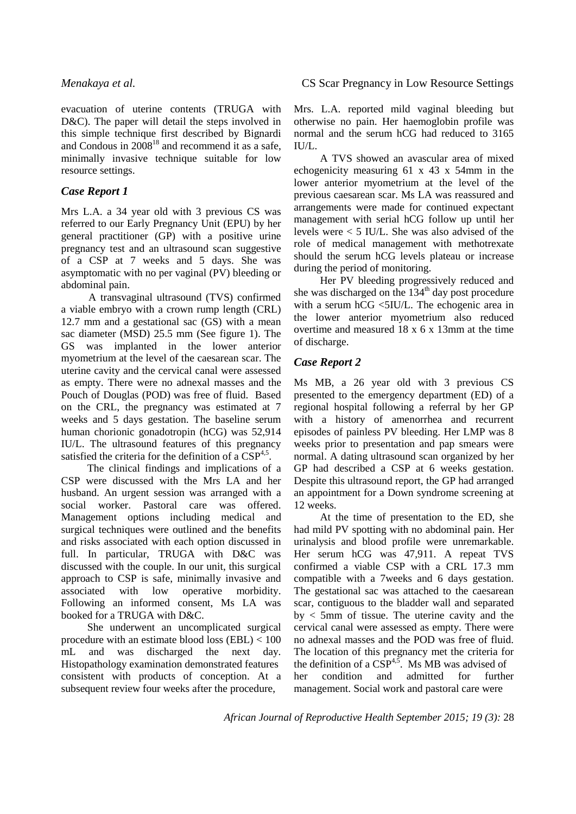evacuation of uterine contents (TRUGA with D&C). The paper will detail the steps involved in this simple technique first described by Bignardi and Condous in  $2008^{18}$  and recommend it as a safe, minimally invasive technique suitable for low resource settings.

## *Case Report 1*

Mrs L.A. a 34 year old with 3 previous CS was referred to our Early Pregnancy Unit (EPU) by her general practitioner (GP) with a positive urine pregnancy test and an ultrasound scan suggestive of a CSP at 7 weeks and 5 days. She was asymptomatic with no per vaginal (PV) bleeding or abdominal pain.

A transvaginal ultrasound (TVS) confirmed a viable embryo with a crown rump length (CRL) 12.7 mm and a gestational sac (GS) with a mean sac diameter (MSD) 25.5 mm (See figure 1). The GS was implanted in the lower anterior myometrium at the level of the caesarean scar. The uterine cavity and the cervical canal were assessed as empty. There were no adnexal masses and the Pouch of Douglas (POD) was free of fluid. Based on the CRL, the pregnancy was estimated at 7 weeks and 5 days gestation. The baseline serum human chorionic gonadotropin (hCG) was 52,914 IU/L. The ultrasound features of this pregnancy satisfied the criteria for the definition of a  $CSP<sup>4,5</sup>$ .

The clinical findings and implications of a CSP were discussed with the Mrs LA and her husband. An urgent session was arranged with a social worker. Pastoral care was offered. Management options including medical and surgical techniques were outlined and the benefits and risks associated with each option discussed in full. In particular, TRUGA with D&C was discussed with the couple. In our unit, this surgical approach to CSP is safe, minimally invasive and associated with low operative morbidity. Following an informed consent, Ms LA was booked for a TRUGA with D&C.

She underwent an uncomplicated surgical procedure with an estimate blood loss (EBL) < 100 mL and was discharged the next day. Histopathology examination demonstrated features consistent with products of conception. At a subsequent review four weeks after the procedure,

Mrs. L.A. reported mild vaginal bleeding but otherwise no pain. Her haemoglobin profile was normal and the serum hCG had reduced to 3165 IU/L.

A TVS showed an avascular area of mixed echogenicity measuring 61 x 43 x 54mm in the lower anterior myometrium at the level of the previous caesarean scar. Ms LA was reassured and arrangements were made for continued expectant management with serial hCG follow up until her levels were < 5 IU/L. She was also advised of the role of medical management with methotrexate should the serum hCG levels plateau or increase during the period of monitoring.

Her PV bleeding progressively reduced and she was discharged on the 134<sup>th</sup> day post procedure with a serum hCG <5IU/L. The echogenic area in the lower anterior myometrium also reduced overtime and measured 18 x 6 x 13mm at the time of discharge.

# *Case Report 2*

Ms MB, a 26 year old with 3 previous CS presented to the emergency department (ED) of a regional hospital following a referral by her GP with a history of amenorrhea and recurrent episodes of painless PV bleeding. Her LMP was 8 weeks prior to presentation and pap smears were normal. A dating ultrasound scan organized by her GP had described a CSP at 6 weeks gestation. Despite this ultrasound report, the GP had arranged an appointment for a Down syndrome screening at 12 weeks.

At the time of presentation to the ED, she had mild PV spotting with no abdominal pain. Her urinalysis and blood profile were unremarkable. Her serum hCG was 47,911. A repeat TVS confirmed a viable CSP with a CRL 17.3 mm compatible with a 7weeks and 6 days gestation. The gestational sac was attached to the caesarean scar, contiguous to the bladder wall and separated  $by < 5$ mm of tissue. The uterine cavity and the cervical canal were assessed as empty. There were no adnexal masses and the POD was free of fluid. The location of this pregnancy met the criteria for the definition of a  $\widehat{\mathrm{CSP}}^{4,5}$ . Ms MB was advised of her condition and admitted for further management. Social work and pastoral care were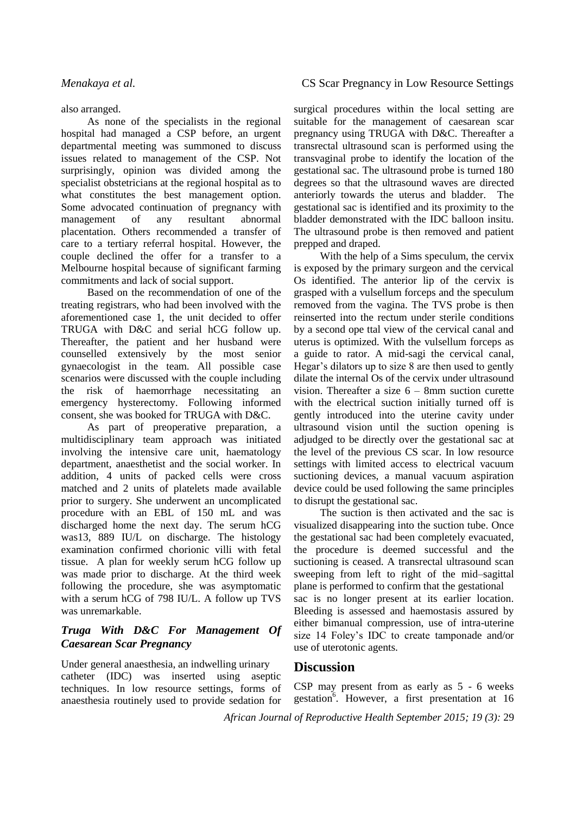also arranged.

As none of the specialists in the regional hospital had managed a CSP before, an urgent departmental meeting was summoned to discuss issues related to management of the CSP. Not surprisingly, opinion was divided among the specialist obstetricians at the regional hospital as to what constitutes the best management option. Some advocated continuation of pregnancy with management of any resultant abnormal placentation. Others recommended a transfer of care to a tertiary referral hospital. However, the couple declined the offer for a transfer to a Melbourne hospital because of significant farming commitments and lack of social support.

Based on the recommendation of one of the treating registrars, who had been involved with the aforementioned case 1, the unit decided to offer TRUGA with D&C and serial hCG follow up. Thereafter, the patient and her husband were counselled extensively by the most senior gynaecologist in the team. All possible case scenarios were discussed with the couple including the risk of haemorrhage necessitating an emergency hysterectomy. Following informed consent, she was booked for TRUGA with D&C.

As part of preoperative preparation, a multidisciplinary team approach was initiated involving the intensive care unit, haematology department, anaesthetist and the social worker. In addition, 4 units of packed cells were cross matched and 2 units of platelets made available prior to surgery. She underwent an uncomplicated procedure with an EBL of 150 mL and was discharged home the next day. The serum hCG was13, 889 IU/L on discharge. The histology examination confirmed chorionic villi with fetal tissue. A plan for weekly serum hCG follow up was made prior to discharge. At the third week following the procedure, she was asymptomatic with a serum hCG of 798 IU/L. A follow up TVS was unremarkable.

# *Truga With D&C For Management Of Caesarean Scar Pregnancy*

Under general anaesthesia, an indwelling urinary catheter (IDC) was inserted using aseptic techniques. In low resource settings, forms of anaesthesia routinely used to provide sedation for

### *Menakaya et al.* CS Scar Pregnancy in Low Resource Settings

surgical procedures within the local setting are suitable for the management of caesarean scar pregnancy using TRUGA with D&C. Thereafter a transrectal ultrasound scan is performed using the transvaginal probe to identify the location of the gestational sac. The ultrasound probe is turned 180 degrees so that the ultrasound waves are directed anteriorly towards the uterus and bladder. The gestational sac is identified and its proximity to the bladder demonstrated with the IDC balloon insitu. The ultrasound probe is then removed and patient prepped and draped.

With the help of a Sims speculum, the cervix is exposed by the primary surgeon and the cervical Os identified. The anterior lip of the cervix is grasped with a vulsellum forceps and the speculum removed from the vagina. The TVS probe is then reinserted into the rectum under sterile conditions by a second ope ttal view of the cervical canal and uterus is optimized. With the vulsellum forceps as a guide to rator. A mid-sagi the cervical canal, Hegar's dilators up to size 8 are then used to gently dilate the internal Os of the cervix under ultrasound vision. Thereafter a size 6 – 8mm suction curette with the electrical suction initially turned off is gently introduced into the uterine cavity under ultrasound vision until the suction opening is adjudged to be directly over the gestational sac at the level of the previous CS scar. In low resource settings with limited access to electrical vacuum suctioning devices, a manual vacuum aspiration device could be used following the same principles to disrupt the gestational sac.

The suction is then activated and the sac is visualized disappearing into the suction tube. Once the gestational sac had been completely evacuated, the procedure is deemed successful and the suctioning is ceased. A transrectal ultrasound scan sweeping from left to right of the mid–sagittal plane is performed to confirm that the gestational sac is no longer present at its earlier location. Bleeding is assessed and haemostasis assured by either bimanual compression, use of intra-uterine size 14 Foley's IDC to create tamponade and/or use of uterotonic agents.

# **Discussion**

CSP may present from as early as 5 - 6 weeks gestation<sup>6</sup>. However, a first presentation at 16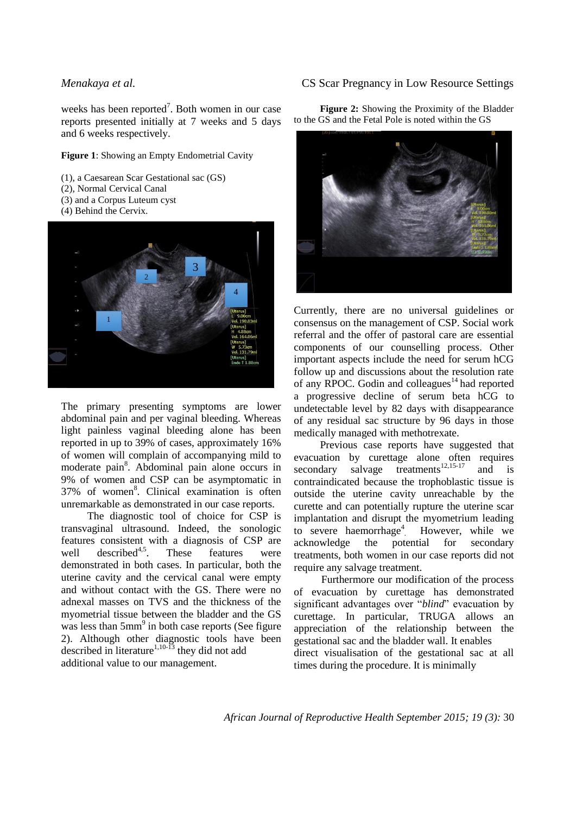weeks has been reported<sup>7</sup>. Both women in our case reports presented initially at 7 weeks and 5 days and 6 weeks respectively.

#### **Figure 1**: Showing an Empty Endometrial Cavity

(1), a Caesarean Scar Gestational sac (GS)

- (2), Normal Cervical Canal
- (3) and a Corpus Luteum cyst
- (4) Behind the Cervix.



The primary presenting symptoms are lower abdominal pain and per vaginal bleeding. Whereas light painless vaginal bleeding alone has been reported in up to 39% of cases, approximately 16% of women will complain of accompanying mild to moderate pain<sup>8</sup>. Abdominal pain alone occurs in 9% of women and CSP can be asymptomatic in 37% of women<sup>8</sup>. Clinical examination is often unremarkable as demonstrated in our case reports.

The diagnostic tool of choice for CSP is transvaginal ultrasound. Indeed, the sonologic features consistent with a diagnosis of CSP are well described<sup>4,5</sup>. These features were demonstrated in both cases. In particular, both the uterine cavity and the cervical canal were empty and without contact with the GS. There were no adnexal masses on TVS and the thickness of the myometrial tissue between the bladder and the GS was less than  $5mm<sup>9</sup>$  in both case reports (See figure 2). Although other diagnostic tools have been described in literature<sup>1,10-13</sup> they did not add additional value to our management.

#### *Menakaya et al.* CS Scar Pregnancy in Low Resource Settings

**Figure 2:** Showing the Proximity of the Bladder to the GS and the Fetal Pole is noted within the GS



Currently, there are no universal guidelines or consensus on the management of CSP. Social work referral and the offer of pastoral care are essential components of our counselling process. Other important aspects include the need for serum hCG follow up and discussions about the resolution rate of any RPOC. Godin and colleagues<sup>14</sup> had reported a progressive decline of serum beta hCG to undetectable level by 82 days with disappearance of any residual sac structure by 96 days in those medically managed with methotrexate.

Previous case reports have suggested that evacuation by curettage alone often requires secondary salvage treatments<sup>12,15-17</sup> and is contraindicated because the trophoblastic tissue is outside the uterine cavity unreachable by the curette and can potentially rupture the uterine scar implantation and disrupt the myometrium leading to severe haemorrhage<sup>4</sup>. However, while we acknowledge the potential for secondary treatments, both women in our case reports did not require any salvage treatment.

Furthermore our modification of the process of evacuation by curettage has demonstrated significant advantages over "*blind*" evacuation by curettage. In particular, TRUGA allows an appreciation of the relationship between the gestational sac and the bladder wall. It enables direct visualisation of the gestational sac at all times during the procedure. It is minimally